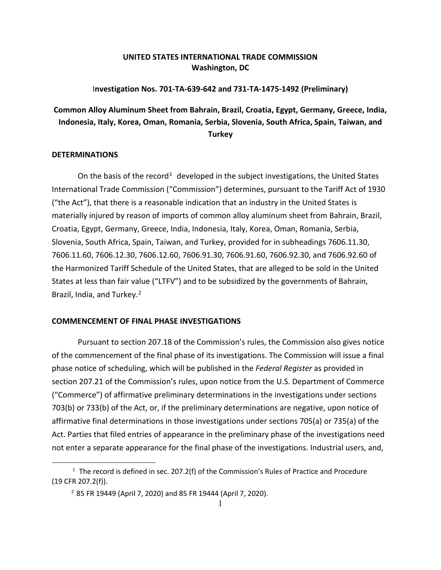## **UNITED STATES INTERNATIONAL TRADE COMMISSION Washington, DC**

### I**nvestigation Nos. 701-TA-639-642 and 731-TA-1475-1492 (Preliminary)**

# **Common Alloy Aluminum Sheet from Bahrain, Brazil, Croatia, Egypt, Germany, Greece, India, Indonesia, Italy, Korea, Oman, Romania, Serbia, Slovenia, South Africa, Spain, Taiwan, and Turkey**

#### **DETERMINATIONS**

On the basis of the record<sup>[1](#page-0-0)</sup> developed in the subject investigations, the United States International Trade Commission ("Commission") determines, pursuant to the Tariff Act of 1930 ("the Act"), that there is a reasonable indication that an industry in the United States is materially injured by reason of imports of common alloy aluminum sheet from Bahrain, Brazil, Croatia, Egypt, Germany, Greece, India, Indonesia, Italy, Korea, Oman, Romania, Serbia, Slovenia, South Africa, Spain, Taiwan, and Turkey, provided for in subheadings 7606.11.30, 7606.11.60, 7606.12.30, 7606.12.60, 7606.91.30, 7606.91.60, 7606.92.30, and 7606.92.60 of the Harmonized Tariff Schedule of the United States, that are alleged to be sold in the United States at less than fair value ("LTFV") and to be subsidized by the governments of Bahrain, Brazil, India, and Turkey. [2](#page-0-1)

#### **COMMENCEMENT OF FINAL PHASE INVESTIGATIONS**

Pursuant to section 207.18 of the Commission's rules, the Commission also gives notice of the commencement of the final phase of its investigations. The Commission will issue a final phase notice of scheduling, which will be published in the *Federal Register* as provided in section 207.21 of the Commission's rules, upon notice from the U.S. Department of Commerce ("Commerce") of affirmative preliminary determinations in the investigations under sections 703(b) or 733(b) of the Act, or, if the preliminary determinations are negative, upon notice of affirmative final determinations in those investigations under sections 705(a) or 735(a) of the Act. Parties that filed entries of appearance in the preliminary phase of the investigations need not enter a separate appearance for the final phase of the investigations. Industrial users, and,

<span id="page-0-1"></span><span id="page-0-0"></span><sup>&</sup>lt;sup>1</sup> The record is defined in sec. 207.2(f) of the Commission's Rules of Practice and Procedure (19 CFR 207.2(f)).

<sup>2</sup> 85 FR 19449 (April 7, 2020) and 85 FR 19444 (April 7, 2020).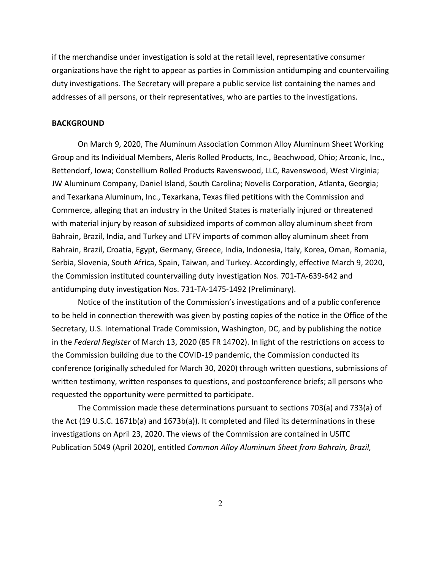if the merchandise under investigation is sold at the retail level, representative consumer organizations have the right to appear as parties in Commission antidumping and countervailing duty investigations. The Secretary will prepare a public service list containing the names and addresses of all persons, or their representatives, who are parties to the investigations.

#### **BACKGROUND**

On March 9, 2020, The Aluminum Association Common Alloy Aluminum Sheet Working Group and its Individual Members, Aleris Rolled Products, Inc., Beachwood, Ohio; Arconic, Inc., Bettendorf, Iowa; Constellium Rolled Products Ravenswood, LLC, Ravenswood, West Virginia; JW Aluminum Company, Daniel Island, South Carolina; Novelis Corporation, Atlanta, Georgia; and Texarkana Aluminum, Inc., Texarkana, Texas filed petitions with the Commission and Commerce, alleging that an industry in the United States is materially injured or threatened with material injury by reason of subsidized imports of common alloy aluminum sheet from Bahrain, Brazil, India, and Turkey and LTFV imports of common alloy aluminum sheet from Bahrain, Brazil, Croatia, Egypt, Germany, Greece, India, Indonesia, Italy, Korea, Oman, Romania, Serbia, Slovenia, South Africa, Spain, Taiwan, and Turkey. Accordingly, effective March 9, 2020, the Commission instituted countervailing duty investigation Nos. 701-TA-639-642 and antidumping duty investigation Nos. 731-TA-1475-1492 (Preliminary).

Notice of the institution of the Commission's investigations and of a public conference to be held in connection therewith was given by posting copies of the notice in the Office of the Secretary, U.S. International Trade Commission, Washington, DC, and by publishing the notice in the *Federal Register* of March 13, 2020 (85 FR 14702). In light of the restrictions on access to the Commission building due to the COVID-19 pandemic, the Commission conducted its conference (originally scheduled for March 30, 2020) through written questions, submissions of written testimony, written responses to questions, and postconference briefs; all persons who requested the opportunity were permitted to participate.

The Commission made these determinations pursuant to sections 703(a) and 733(a) of the Act (19 U.S.C. 1671b(a) and 1673b(a)). It completed and filed its determinations in these investigations on April 23, 2020. The views of the Commission are contained in USITC Publication 5049 (April 2020), entitled *Common Alloy Aluminum Sheet from Bahrain, Brazil,*